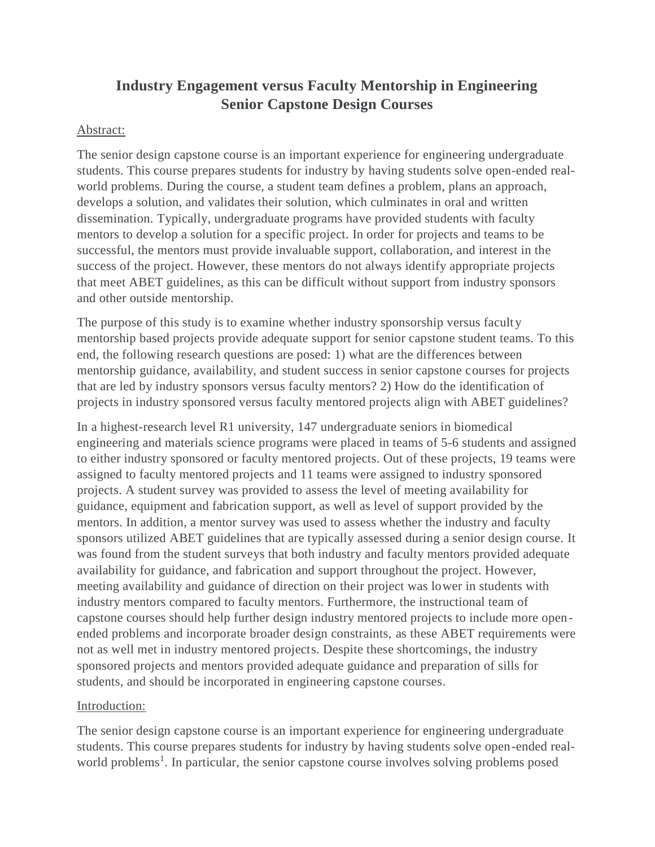# **Industry Engagement versus Faculty Mentorship in Engineering Senior Capstone Design Courses**

# Abstract:

The senior design capstone course is an important experience for engineering undergraduate students. This course prepares students for industry by having students solve open-ended realworld problems. During the course, a student team defines a problem, plans an approach, develops a solution, and validates their solution, which culminates in oral and written dissemination. Typically, undergraduate programs have provided students with faculty mentors to develop a solution for a specific project. In order for projects and teams to be successful, the mentors must provide invaluable support, collaboration, and interest in the success of the project. However, these mentors do not always identify appropriate projects that meet ABET guidelines, as this can be difficult without support from industry sponsors and other outside mentorship.

The purpose of this study is to examine whether industry sponsorship versus faculty mentorship based projects provide adequate support for senior capstone student teams. To this end, the following research questions are posed: 1) what are the differences between mentorship guidance, availability, and student success in senior capstone courses for projects that are led by industry sponsors versus faculty mentors? 2) How do the identification of projects in industry sponsored versus faculty mentored projects align with ABET guidelines?

In a highest-research level R1 university, 147 undergraduate seniors in biomedical engineering and materials science programs were placed in teams of 5-6 students and assigned to either industry sponsored or faculty mentored projects. Out of these projects, 19 teams were assigned to faculty mentored projects and 11 teams were assigned to industry sponsored projects. A student survey was provided to assess the level of meeting availability for guidance, equipment and fabrication support, as well as level of support provided by the mentors. In addition, a mentor survey was used to assess whether the industry and faculty sponsors utilized ABET guidelines that are typically assessed during a senior design course. It was found from the student surveys that both industry and faculty mentors provided adequate availability for guidance, and fabrication and support throughout the project. However, meeting availability and guidance of direction on their project was lower in students with industry mentors compared to faculty mentors. Furthermore, the instructional team of capstone courses should help further design industry mentored projects to include more openended problems and incorporate broader design constraints, as these ABET requirements were not as well met in industry mentored projects. Despite these shortcomings, the industry sponsored projects and mentors provided adequate guidance and preparation of sills for students, and should be incorporated in engineering capstone courses.

#### Introduction:

The senior design capstone course is an important experience for engineering undergraduate students. This course prepares students for industry by having students solve open-ended realworld problems<sup>1</sup>. In particular, the senior capstone course involves solving problems posed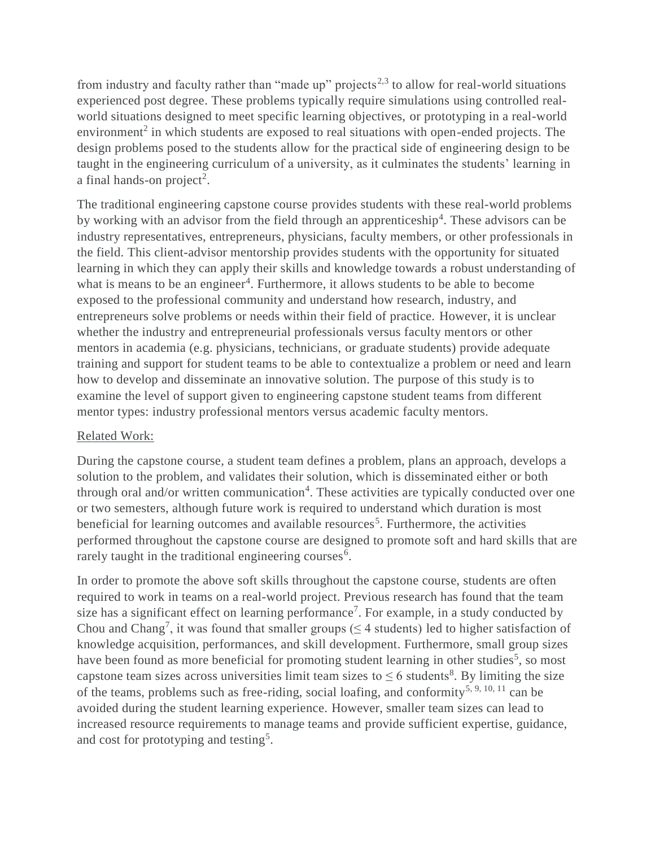from industry and faculty rather than "made up" projects<sup>2,3</sup> to allow for real-world situations experienced post degree. These problems typically require simulations using controlled realworld situations designed to meet specific learning objectives, or prototyping in a real-world environment<sup>2</sup> in which students are exposed to real situations with open-ended projects. The design problems posed to the students allow for the practical side of engineering design to be taught in the engineering curriculum of a university, as it culminates the students' learning in a final hands-on project<sup>2</sup>.

The traditional engineering capstone course provides students with these real-world problems by working with an advisor from the field through an apprenticeship<sup>4</sup>. These advisors can be industry representatives, entrepreneurs, physicians, faculty members, or other professionals in the field. This client-advisor mentorship provides students with the opportunity for situated learning in which they can apply their skills and knowledge towards a robust understanding of what is means to be an engineer<sup>4</sup>. Furthermore, it allows students to be able to become exposed to the professional community and understand how research, industry, and entrepreneurs solve problems or needs within their field of practice. However, it is unclear whether the industry and entrepreneurial professionals versus faculty mentors or other mentors in academia (e.g. physicians, technicians, or graduate students) provide adequate training and support for student teams to be able to contextualize a problem or need and learn how to develop and disseminate an innovative solution. The purpose of this study is to examine the level of support given to engineering capstone student teams from different mentor types: industry professional mentors versus academic faculty mentors.

# Related Work:

During the capstone course, a student team defines a problem, plans an approach, develops a solution to the problem, and validates their solution, which is disseminated either or both through oral and/or written communication<sup>4</sup>. These activities are typically conducted over one or two semesters, although future work is required to understand which duration is most beneficial for learning outcomes and available resources<sup>5</sup>. Furthermore, the activities performed throughout the capstone course are designed to promote soft and hard skills that are rarely taught in the traditional engineering courses $6$ .

In order to promote the above soft skills throughout the capstone course, students are often required to work in teams on a real-world project. Previous research has found that the team size has a significant effect on learning performance<sup>7</sup>. For example, in a study conducted by Chou and Chang<sup>7</sup>, it was found that smaller groups ( $\leq$  4 students) led to higher satisfaction of knowledge acquisition, performances, and skill development. Furthermore, small group sizes have been found as more beneficial for promoting student learning in other studies<sup>5</sup>, so most capstone team sizes across universities limit team sizes to  $\leq 6$  students<sup>8</sup>. By limiting the size of the teams, problems such as free-riding, social loafing, and conformity<sup>5, 9, 10, 11</sup> can be avoided during the student learning experience. However, smaller team sizes can lead to increased resource requirements to manage teams and provide sufficient expertise, guidance, and cost for prototyping and testing<sup>5</sup>.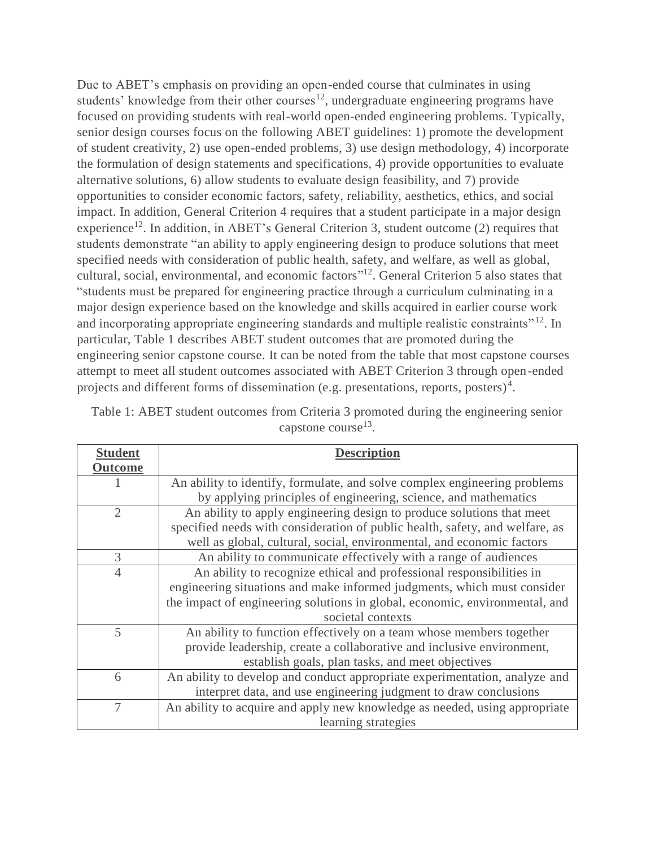Due to ABET's emphasis on providing an open-ended course that culminates in using students' knowledge from their other courses<sup>12</sup>, undergraduate engineering programs have focused on providing students with real-world open-ended engineering problems. Typically, senior design courses focus on the following ABET guidelines: 1) promote the development of student creativity, 2) use open-ended problems, 3) use design methodology, 4) incorporate the formulation of design statements and specifications, 4) provide opportunities to evaluate alternative solutions, 6) allow students to evaluate design feasibility, and 7) provide opportunities to consider economic factors, safety, reliability, aesthetics, ethics, and social impact. In addition, General Criterion 4 requires that a student participate in a major design experience<sup>12</sup>. In addition, in ABET's General Criterion 3, student outcome (2) requires that students demonstrate "an ability to apply engineering design to produce solutions that meet specified needs with consideration of public health, safety, and welfare, as well as global, cultural, social, environmental, and economic factors"<sup>12</sup>. General Criterion 5 also states that "students must be prepared for engineering practice through a curriculum culminating in a major design experience based on the knowledge and skills acquired in earlier course work and incorporating appropriate engineering standards and multiple realistic constraints"<sup>12</sup>. In particular, Table 1 describes ABET student outcomes that are promoted during the engineering senior capstone course. It can be noted from the table that most capstone courses attempt to meet all student outcomes associated with ABET Criterion 3 through open-ended projects and different forms of dissemination (e.g. presentations, reports, posters)<sup>4</sup>.

| Table 1: ABET student outcomes from Criteria 3 promoted during the engineering senior |  |  |  |  |  |  |  |  |  |
|---------------------------------------------------------------------------------------|--|--|--|--|--|--|--|--|--|
| capstone course <sup>13</sup> .                                                       |  |  |  |  |  |  |  |  |  |

| <b>Student</b> | <b>Description</b>                                                           |  |  |  |  |
|----------------|------------------------------------------------------------------------------|--|--|--|--|
| <b>Outcome</b> |                                                                              |  |  |  |  |
|                | An ability to identify, formulate, and solve complex engineering problems    |  |  |  |  |
|                | by applying principles of engineering, science, and mathematics              |  |  |  |  |
| $\overline{2}$ | An ability to apply engineering design to produce solutions that meet        |  |  |  |  |
|                | specified needs with consideration of public health, safety, and welfare, as |  |  |  |  |
|                | well as global, cultural, social, environmental, and economic factors        |  |  |  |  |
| 3              | An ability to communicate effectively with a range of audiences              |  |  |  |  |
| $\overline{4}$ | An ability to recognize ethical and professional responsibilities in         |  |  |  |  |
|                | engineering situations and make informed judgments, which must consider      |  |  |  |  |
|                | the impact of engineering solutions in global, economic, environmental, and  |  |  |  |  |
|                | societal contexts                                                            |  |  |  |  |
| 5              | An ability to function effectively on a team whose members together          |  |  |  |  |
|                | provide leadership, create a collaborative and inclusive environment,        |  |  |  |  |
|                | establish goals, plan tasks, and meet objectives                             |  |  |  |  |
| 6              | An ability to develop and conduct appropriate experimentation, analyze and   |  |  |  |  |
|                | interpret data, and use engineering judgment to draw conclusions             |  |  |  |  |
| 7              | An ability to acquire and apply new knowledge as needed, using appropriate   |  |  |  |  |
|                | learning strategies                                                          |  |  |  |  |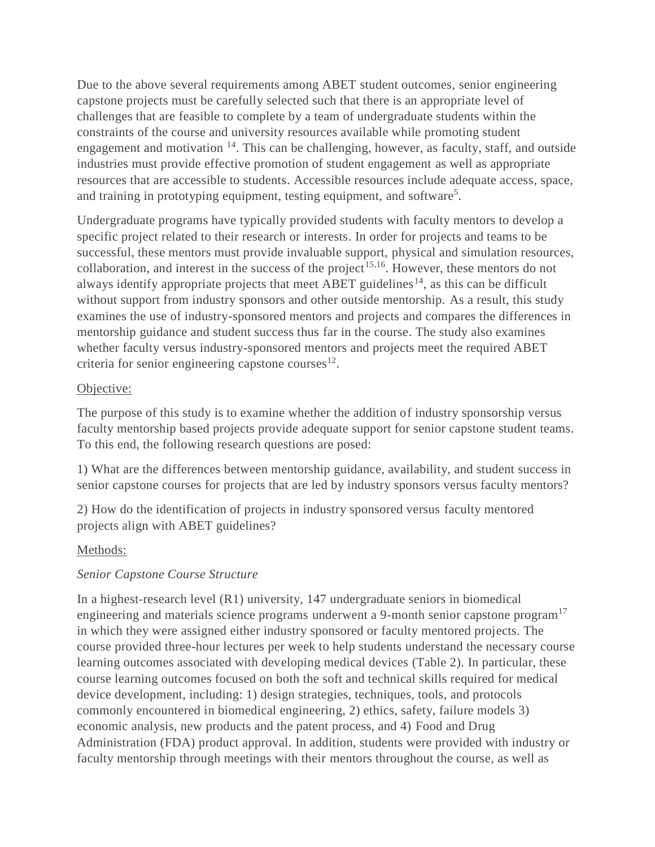Due to the above several requirements among ABET student outcomes, senior engineering capstone projects must be carefully selected such that there is an appropriate level of challenges that are feasible to complete by a team of undergraduate students within the constraints of the course and university resources available while promoting student engagement and motivation <sup>14</sup>. This can be challenging, however, as faculty, staff, and outside industries must provide effective promotion of student engagement as well as appropriate resources that are accessible to students. Accessible resources include adequate access, space, and training in prototyping equipment, testing equipment, and software<sup>5</sup>.

Undergraduate programs have typically provided students with faculty mentors to develop a specific project related to their research or interests. In order for projects and teams to be successful, these mentors must provide invaluable support, physical and simulation resources, collaboration, and interest in the success of the project<sup>15,16</sup>. However, these mentors do not always identify appropriate projects that meet ABET guidelines<sup>14</sup>, as this can be difficult without support from industry sponsors and other outside mentorship. As a result, this study examines the use of industry-sponsored mentors and projects and compares the differences in mentorship guidance and student success thus far in the course. The study also examines whether faculty versus industry-sponsored mentors and projects meet the required ABET criteria for senior engineering capstone courses $^{12}$ .

# Objective:

The purpose of this study is to examine whether the addition of industry sponsorship versus faculty mentorship based projects provide adequate support for senior capstone student teams. To this end, the following research questions are posed:

1) What are the differences between mentorship guidance, availability, and student success in senior capstone courses for projects that are led by industry sponsors versus faculty mentors?

2) How do the identification of projects in industry sponsored versus faculty mentored projects align with ABET guidelines?

# Methods:

# *Senior Capstone Course Structure*

In a highest-research level (R1) university, 147 undergraduate seniors in biomedical engineering and materials science programs underwent a 9-month senior capstone program<sup>17</sup> in which they were assigned either industry sponsored or faculty mentored projects. The course provided three-hour lectures per week to help students understand the necessary course learning outcomes associated with developing medical devices (Table 2). In particular, these course learning outcomes focused on both the soft and technical skills required for medical device development, including: 1) design strategies, techniques, tools, and protocols commonly encountered in biomedical engineering, 2) ethics, safety, failure models 3) economic analysis, new products and the patent process, and 4) Food and Drug Administration (FDA) product approval. In addition, students were provided with industry or faculty mentorship through meetings with their mentors throughout the course, as well as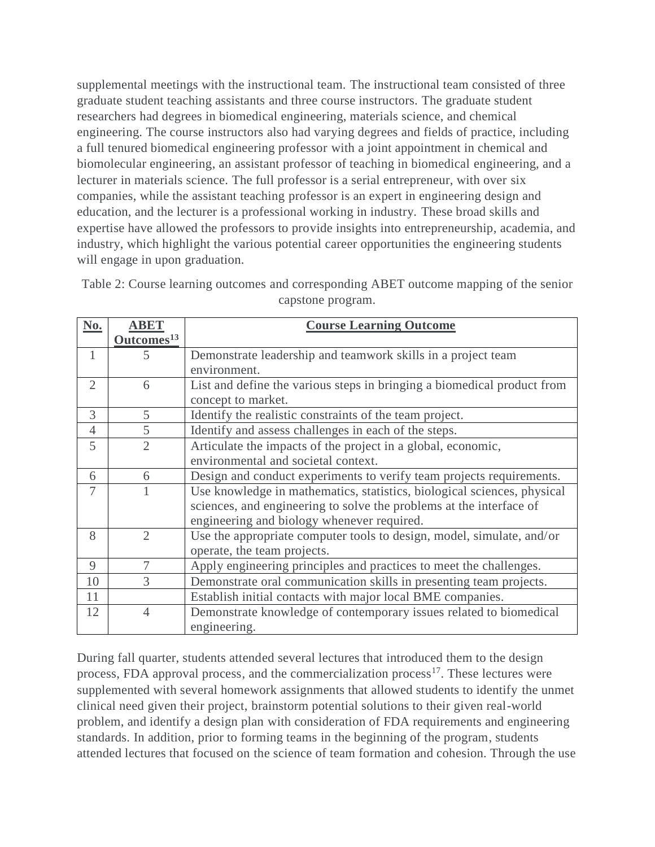supplemental meetings with the instructional team. The instructional team consisted of three graduate student teaching assistants and three course instructors. The graduate student researchers had degrees in biomedical engineering, materials science, and chemical engineering. The course instructors also had varying degrees and fields of practice, including a full tenured biomedical engineering professor with a joint appointment in chemical and biomolecular engineering, an assistant professor of teaching in biomedical engineering, and a lecturer in materials science. The full professor is a serial entrepreneur, with over six companies, while the assistant teaching professor is an expert in engineering design and education, and the lecturer is a professional working in industry. These broad skills and expertise have allowed the professors to provide insights into entrepreneurship, academia, and industry, which highlight the various potential career opportunities the engineering students will engage in upon graduation.

| No.            | <b>ABET</b>            | <b>Course Learning Outcome</b>                                          |  |  |  |
|----------------|------------------------|-------------------------------------------------------------------------|--|--|--|
|                | Outcomes <sup>13</sup> |                                                                         |  |  |  |
| 1              | 5                      | Demonstrate leadership and teamwork skills in a project team            |  |  |  |
|                |                        | environment.                                                            |  |  |  |
| $\overline{2}$ | 6                      | List and define the various steps in bringing a biomedical product from |  |  |  |
|                |                        | concept to market.                                                      |  |  |  |
| 3              | 5                      | Identify the realistic constraints of the team project.                 |  |  |  |
| $\overline{4}$ | 5                      | Identify and assess challenges in each of the steps.                    |  |  |  |
| 5              | $\overline{2}$         | Articulate the impacts of the project in a global, economic,            |  |  |  |
|                |                        | environmental and societal context.                                     |  |  |  |
| 6              | 6                      | Design and conduct experiments to verify team projects requirements.    |  |  |  |
| 7              |                        | Use knowledge in mathematics, statistics, biological sciences, physical |  |  |  |
|                |                        | sciences, and engineering to solve the problems at the interface of     |  |  |  |
|                |                        | engineering and biology whenever required.                              |  |  |  |
| 8              | $\overline{2}$         | Use the appropriate computer tools to design, model, simulate, and/or   |  |  |  |
|                |                        | operate, the team projects.                                             |  |  |  |
| 9              | 7                      | Apply engineering principles and practices to meet the challenges.      |  |  |  |
| 10             | 3                      | Demonstrate oral communication skills in presenting team projects.      |  |  |  |
| 11             |                        | Establish initial contacts with major local BME companies.              |  |  |  |
| 12             | $\overline{4}$         | Demonstrate knowledge of contemporary issues related to biomedical      |  |  |  |
|                |                        | engineering.                                                            |  |  |  |

Table 2: Course learning outcomes and corresponding ABET outcome mapping of the senior capstone program.

During fall quarter, students attended several lectures that introduced them to the design process, FDA approval process, and the commercialization process<sup>17</sup>. These lectures were supplemented with several homework assignments that allowed students to identify the unmet clinical need given their project, brainstorm potential solutions to their given real-world problem, and identify a design plan with consideration of FDA requirements and engineering standards. In addition, prior to forming teams in the beginning of the program, students attended lectures that focused on the science of team formation and cohesion. Through the use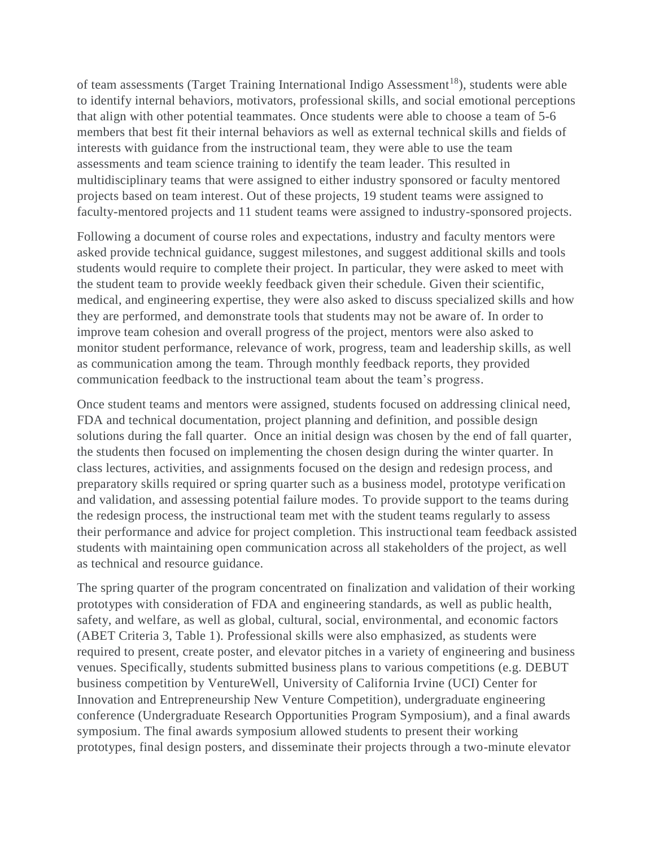of team assessments (Target Training International Indigo Assessment<sup>18</sup>), students were able to identify internal behaviors, motivators, professional skills, and social emotional perceptions that align with other potential teammates. Once students were able to choose a team of 5-6 members that best fit their internal behaviors as well as external technical skills and fields of interests with guidance from the instructional team, they were able to use the team assessments and team science training to identify the team leader. This resulted in multidisciplinary teams that were assigned to either industry sponsored or faculty mentored projects based on team interest. Out of these projects, 19 student teams were assigned to faculty-mentored projects and 11 student teams were assigned to industry-sponsored projects.

Following a document of course roles and expectations, industry and faculty mentors were asked provide technical guidance, suggest milestones, and suggest additional skills and tools students would require to complete their project. In particular, they were asked to meet with the student team to provide weekly feedback given their schedule. Given their scientific, medical, and engineering expertise, they were also asked to discuss specialized skills and how they are performed, and demonstrate tools that students may not be aware of. In order to improve team cohesion and overall progress of the project, mentors were also asked to monitor student performance, relevance of work, progress, team and leadership skills, as well as communication among the team. Through monthly feedback reports, they provided communication feedback to the instructional team about the team's progress.

Once student teams and mentors were assigned, students focused on addressing clinical need, FDA and technical documentation, project planning and definition, and possible design solutions during the fall quarter. Once an initial design was chosen by the end of fall quarter, the students then focused on implementing the chosen design during the winter quarter. In class lectures, activities, and assignments focused on the design and redesign process, and preparatory skills required or spring quarter such as a business model, prototype verification and validation, and assessing potential failure modes. To provide support to the teams during the redesign process, the instructional team met with the student teams regularly to assess their performance and advice for project completion. This instructional team feedback assisted students with maintaining open communication across all stakeholders of the project, as well as technical and resource guidance.

The spring quarter of the program concentrated on finalization and validation of their working prototypes with consideration of FDA and engineering standards, as well as public health, safety, and welfare, as well as global, cultural, social, environmental, and economic factors (ABET Criteria 3, Table 1). Professional skills were also emphasized, as students were required to present, create poster, and elevator pitches in a variety of engineering and business venues. Specifically, students submitted business plans to various competitions (e.g. DEBUT business competition by VentureWell, University of California Irvine (UCI) Center for Innovation and Entrepreneurship New Venture Competition), undergraduate engineering conference (Undergraduate Research Opportunities Program Symposium), and a final awards symposium. The final awards symposium allowed students to present their working prototypes, final design posters, and disseminate their projects through a two-minute elevator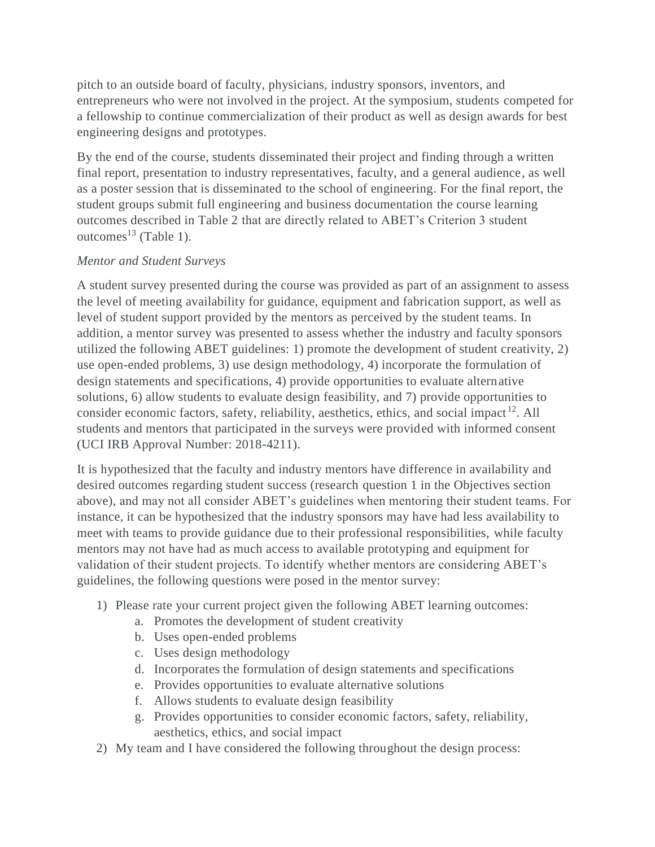pitch to an outside board of faculty, physicians, industry sponsors, inventors, and entrepreneurs who were not involved in the project. At the symposium, students competed for a fellowship to continue commercialization of their product as well as design awards for best engineering designs and prototypes.

By the end of the course, students disseminated their project and finding through a written final report, presentation to industry representatives, faculty, and a general audience, as well as a poster session that is disseminated to the school of engineering. For the final report, the student groups submit full engineering and business documentation the course learning outcomes described in Table 2 that are directly related to ABET's Criterion 3 student outcomes<sup>13</sup> (Table 1).

# *Mentor and Student Surveys*

A student survey presented during the course was provided as part of an assignment to assess the level of meeting availability for guidance, equipment and fabrication support, as well as level of student support provided by the mentors as perceived by the student teams. In addition, a mentor survey was presented to assess whether the industry and faculty sponsors utilized the following ABET guidelines: 1) promote the development of student creativity, 2) use open-ended problems, 3) use design methodology, 4) incorporate the formulation of design statements and specifications, 4) provide opportunities to evaluate alternative solutions, 6) allow students to evaluate design feasibility, and 7) provide opportunities to consider economic factors, safety, reliability, aesthetics, ethics, and social impact<sup>12</sup>. All students and mentors that participated in the surveys were provided with informed consent (UCI IRB Approval Number: 2018-4211).

It is hypothesized that the faculty and industry mentors have difference in availability and desired outcomes regarding student success (research question 1 in the Objectives section above), and may not all consider ABET's guidelines when mentoring their student teams. For instance, it can be hypothesized that the industry sponsors may have had less availability to meet with teams to provide guidance due to their professional responsibilities, while faculty mentors may not have had as much access to available prototyping and equipment for validation of their student projects. To identify whether mentors are considering ABET's guidelines, the following questions were posed in the mentor survey:

- 1) Please rate your current project given the following ABET learning outcomes:
	- a. Promotes the development of student creativity
	- b. Uses open-ended problems
	- c. Uses design methodology
	- d. Incorporates the formulation of design statements and specifications
	- e. Provides opportunities to evaluate alternative solutions
	- f. Allows students to evaluate design feasibility
	- g. Provides opportunities to consider economic factors, safety, reliability, aesthetics, ethics, and social impact
- 2) My team and I have considered the following throughout the design process: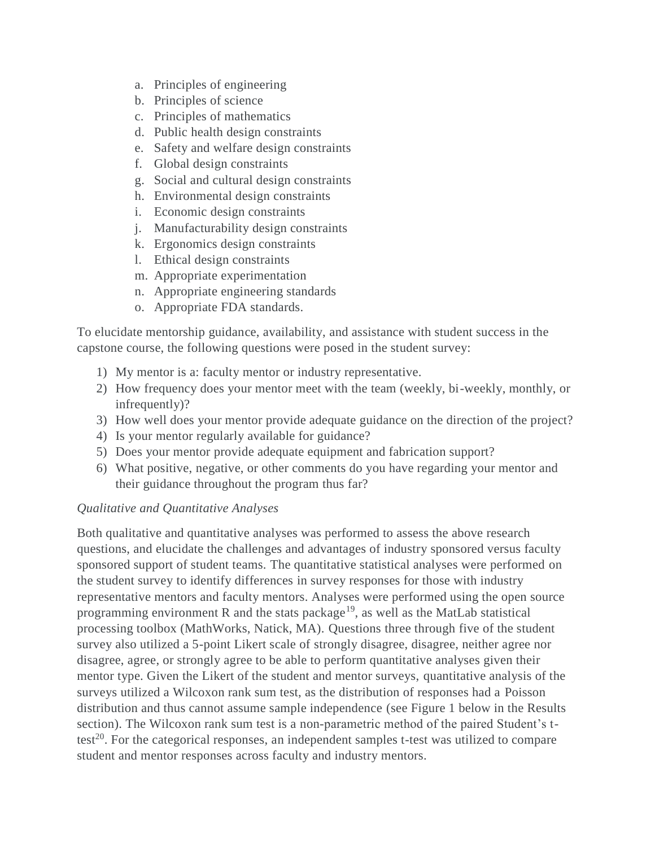- a. Principles of engineering
- b. Principles of science
- c. Principles of mathematics
- d. Public health design constraints
- e. Safety and welfare design constraints
- f. Global design constraints
- g. Social and cultural design constraints
- h. Environmental design constraints
- i. Economic design constraints
- j. Manufacturability design constraints
- k. Ergonomics design constraints
- l. Ethical design constraints
- m. Appropriate experimentation
- n. Appropriate engineering standards
- o. Appropriate FDA standards.

To elucidate mentorship guidance, availability, and assistance with student success in the capstone course, the following questions were posed in the student survey:

- 1) My mentor is a: faculty mentor or industry representative.
- 2) How frequency does your mentor meet with the team (weekly, bi-weekly, monthly, or infrequently)?
- 3) How well does your mentor provide adequate guidance on the direction of the project?
- 4) Is your mentor regularly available for guidance?
- 5) Does your mentor provide adequate equipment and fabrication support?
- 6) What positive, negative, or other comments do you have regarding your mentor and their guidance throughout the program thus far?

# *Qualitative and Quantitative Analyses*

Both qualitative and quantitative analyses was performed to assess the above research questions, and elucidate the challenges and advantages of industry sponsored versus faculty sponsored support of student teams. The quantitative statistical analyses were performed on the student survey to identify differences in survey responses for those with industry representative mentors and faculty mentors. Analyses were performed using the open source programming environment R and the stats package<sup>19</sup>, as well as the MatLab statistical processing toolbox (MathWorks, Natick, MA). Questions three through five of the student survey also utilized a 5-point Likert scale of strongly disagree, disagree, neither agree nor disagree, agree, or strongly agree to be able to perform quantitative analyses given their mentor type. Given the Likert of the student and mentor surveys, quantitative analysis of the surveys utilized a Wilcoxon rank sum test, as the distribution of responses had a Poisson distribution and thus cannot assume sample independence (see Figure 1 below in the Results section). The Wilcoxon rank sum test is a non-parametric method of the paired Student's ttest<sup>20</sup>. For the categorical responses, an independent samples t-test was utilized to compare student and mentor responses across faculty and industry mentors.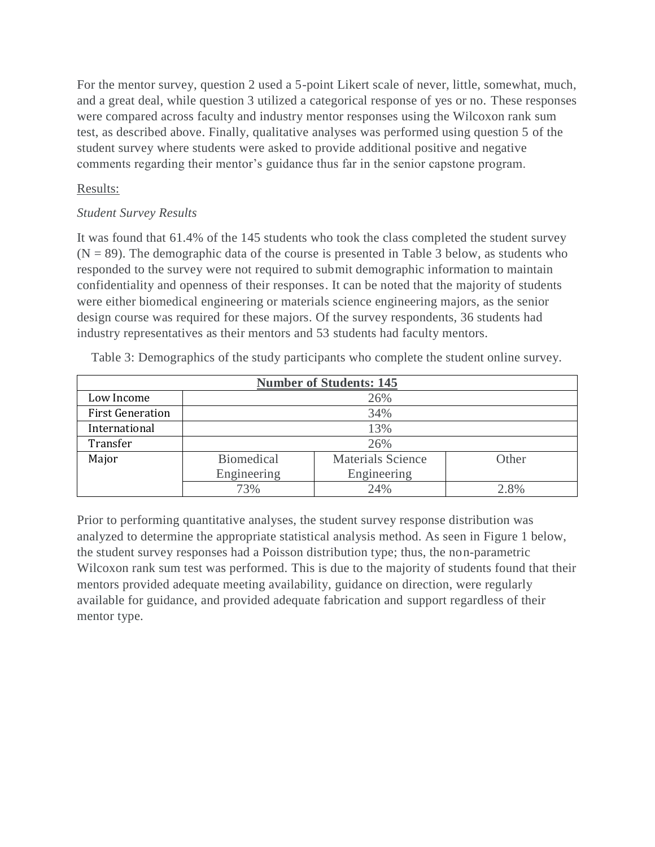For the mentor survey, question 2 used a 5-point Likert scale of never, little, somewhat, much, and a great deal, while question 3 utilized a categorical response of yes or no. These responses were compared across faculty and industry mentor responses using the Wilcoxon rank sum test, as described above. Finally, qualitative analyses was performed using question 5 of the student survey where students were asked to provide additional positive and negative comments regarding their mentor's guidance thus far in the senior capstone program.

# Results:

# *Student Survey Results*

It was found that 61.4% of the 145 students who took the class completed the student survey  $(N = 89)$ . The demographic data of the course is presented in Table 3 below, as students who responded to the survey were not required to submit demographic information to maintain confidentiality and openness of their responses. It can be noted that the majority of students were either biomedical engineering or materials science engineering majors, as the senior design course was required for these majors. Of the survey respondents, 36 students had industry representatives as their mentors and 53 students had faculty mentors.

| <b>Number of Students: 145</b> |                   |                          |         |  |  |  |  |
|--------------------------------|-------------------|--------------------------|---------|--|--|--|--|
| Low Income                     |                   | 26%                      |         |  |  |  |  |
| <b>First Generation</b>        | 34%               |                          |         |  |  |  |  |
| International                  | 13%               |                          |         |  |  |  |  |
| Transfer                       | 26%               |                          |         |  |  |  |  |
| Major                          | <b>Biomedical</b> | <b>Materials Science</b> | Other   |  |  |  |  |
|                                | Engineering       | Engineering              |         |  |  |  |  |
|                                | 73%               | 24%                      | $2.8\%$ |  |  |  |  |

Table 3: Demographics of the study participants who complete the student online survey.

Prior to performing quantitative analyses, the student survey response distribution was analyzed to determine the appropriate statistical analysis method. As seen in Figure 1 below, the student survey responses had a Poisson distribution type; thus, the non-parametric Wilcoxon rank sum test was performed. This is due to the majority of students found that their mentors provided adequate meeting availability, guidance on direction, were regularly available for guidance, and provided adequate fabrication and support regardless of their mentor type.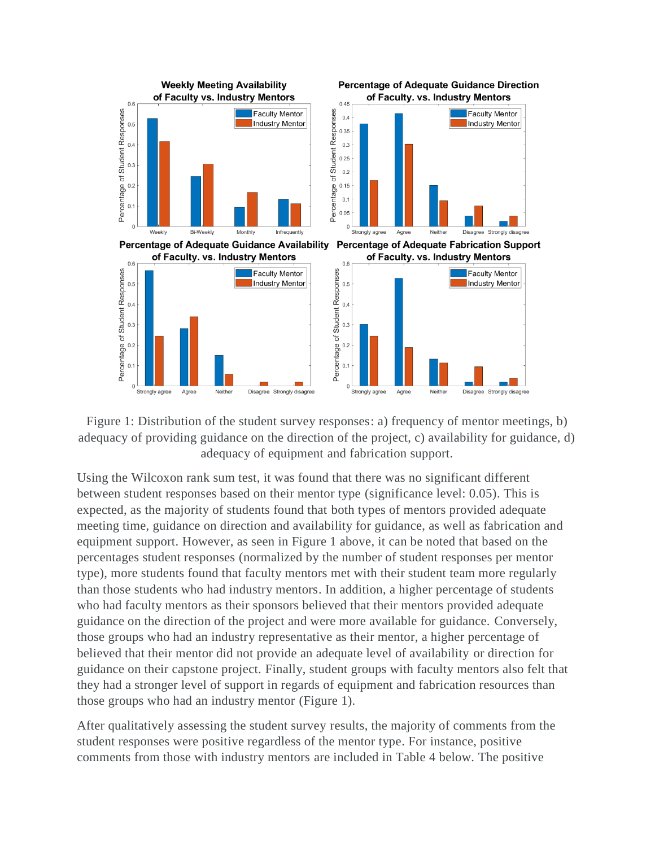



Using the Wilcoxon rank sum test, it was found that there was no significant different between student responses based on their mentor type (significance level: 0.05). This is expected, as the majority of students found that both types of mentors provided adequate meeting time, guidance on direction and availability for guidance, as well as fabrication and equipment support. However, as seen in Figure 1 above, it can be noted that based on the percentages student responses (normalized by the number of student responses per mentor type), more students found that faculty mentors met with their student team more regularly than those students who had industry mentors. In addition, a higher percentage of students who had faculty mentors as their sponsors believed that their mentors provided adequate guidance on the direction of the project and were more available for guidance. Conversely, those groups who had an industry representative as their mentor, a higher percentage of believed that their mentor did not provide an adequate level of availability or direction for guidance on their capstone project. Finally, student groups with faculty mentors also felt that they had a stronger level of support in regards of equipment and fabrication resources than those groups who had an industry mentor (Figure 1).

After qualitatively assessing the student survey results, the majority of comments from the student responses were positive regardless of the mentor type. For instance, positive comments from those with industry mentors are included in Table 4 below. The positive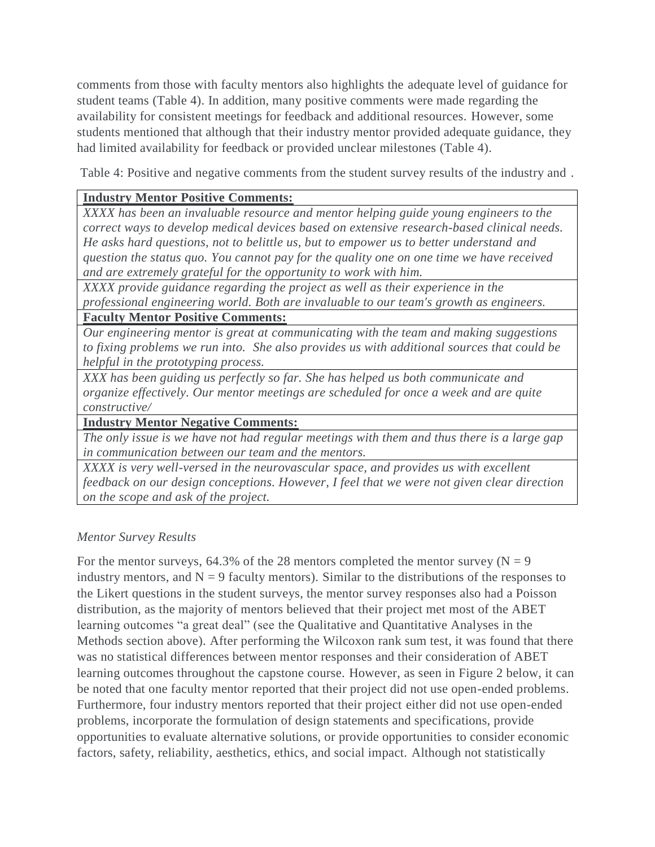comments from those with faculty mentors also highlights the adequate level of guidance for student teams (Table 4). In addition, many positive comments were made regarding the availability for consistent meetings for feedback and additional resources. However, some students mentioned that although that their industry mentor provided adequate guidance, they had limited availability for feedback or provided unclear milestones (Table 4).

Table 4: Positive and negative comments from the student survey results of the industry and .

# **Industry Mentor Positive Comments:**

*XXXX has been an invaluable resource and mentor helping guide young engineers to the correct ways to develop medical devices based on extensive research-based clinical needs. He asks hard questions, not to belittle us, but to empower us to better understand and question the status quo. You cannot pay for the quality one on one time we have received and are extremely grateful for the opportunity to work with him.*

*XXXX provide guidance regarding the project as well as their experience in the professional engineering world. Both are invaluable to our team's growth as engineers.*

**Faculty Mentor Positive Comments:**

*Our engineering mentor is great at communicating with the team and making suggestions to fixing problems we run into. She also provides us with additional sources that could be helpful in the prototyping process.*

*XXX has been guiding us perfectly so far. She has helped us both communicate and organize effectively. Our mentor meetings are scheduled for once a week and are quite constructive/*

**Industry Mentor Negative Comments:**

*The only issue is we have not had regular meetings with them and thus there is a large gap in communication between our team and the mentors.*

*XXXX is very well-versed in the neurovascular space, and provides us with excellent feedback on our design conceptions. However, I feel that we were not given clear direction on the scope and ask of the project.*

# *Mentor Survey Results*

For the mentor surveys, 64.3% of the 28 mentors completed the mentor survey ( $N = 9$ ) industry mentors, and  $N = 9$  faculty mentors). Similar to the distributions of the responses to the Likert questions in the student surveys, the mentor survey responses also had a Poisson distribution, as the majority of mentors believed that their project met most of the ABET learning outcomes "a great deal" (see the Qualitative and Quantitative Analyses in the Methods section above). After performing the Wilcoxon rank sum test, it was found that there was no statistical differences between mentor responses and their consideration of ABET learning outcomes throughout the capstone course. However, as seen in Figure 2 below, it can be noted that one faculty mentor reported that their project did not use open-ended problems. Furthermore, four industry mentors reported that their project either did not use open-ended problems, incorporate the formulation of design statements and specifications, provide opportunities to evaluate alternative solutions, or provide opportunities to consider economic factors, safety, reliability, aesthetics, ethics, and social impact. Although not statistically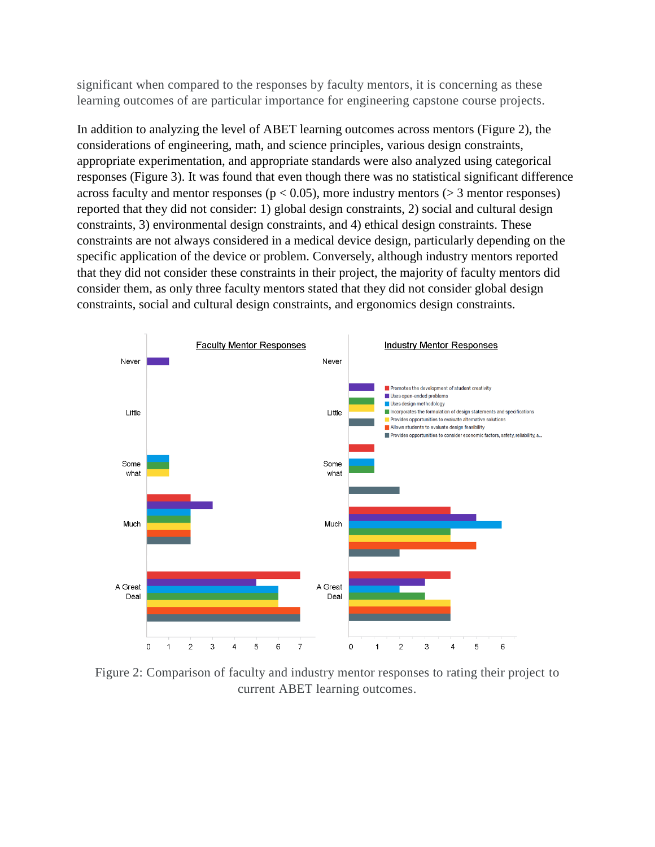significant when compared to the responses by faculty mentors, it is concerning as these learning outcomes of are particular importance for engineering capstone course projects.

In addition to analyzing the level of ABET learning outcomes across mentors (Figure 2), the considerations of engineering, math, and science principles, various design constraints, appropriate experimentation, and appropriate standards were also analyzed using categorical responses (Figure 3). It was found that even though there was no statistical significant difference across faculty and mentor responses ( $p < 0.05$ ), more industry mentors ( $> 3$  mentor responses) reported that they did not consider: 1) global design constraints, 2) social and cultural design constraints, 3) environmental design constraints, and 4) ethical design constraints. These constraints are not always considered in a medical device design, particularly depending on the specific application of the device or problem. Conversely, although industry mentors reported that they did not consider these constraints in their project, the majority of faculty mentors did consider them, as only three faculty mentors stated that they did not consider global design constraints, social and cultural design constraints, and ergonomics design constraints.



Figure 2: Comparison of faculty and industry mentor responses to rating their project to current ABET learning outcomes.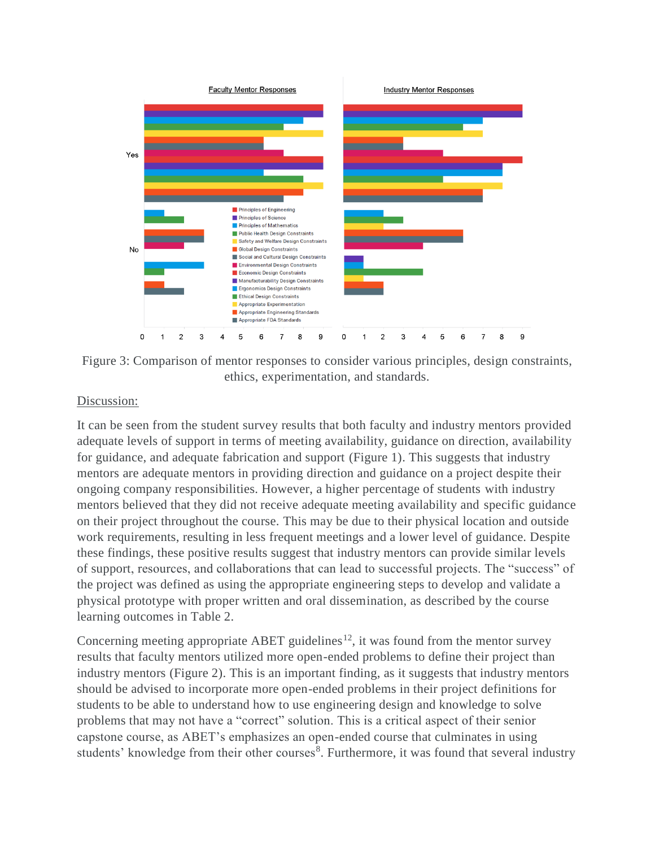

Figure 3: Comparison of mentor responses to consider various principles, design constraints, ethics, experimentation, and standards.

### Discussion:

It can be seen from the student survey results that both faculty and industry mentors provided adequate levels of support in terms of meeting availability, guidance on direction, availability for guidance, and adequate fabrication and support (Figure 1). This suggests that industry mentors are adequate mentors in providing direction and guidance on a project despite their ongoing company responsibilities. However, a higher percentage of students with industry mentors believed that they did not receive adequate meeting availability and specific guidance on their project throughout the course. This may be due to their physical location and outside work requirements, resulting in less frequent meetings and a lower level of guidance. Despite these findings, these positive results suggest that industry mentors can provide similar levels of support, resources, and collaborations that can lead to successful projects. The "success" of the project was defined as using the appropriate engineering steps to develop and validate a physical prototype with proper written and oral dissemination, as described by the course learning outcomes in Table 2.

Concerning meeting appropriate ABET guidelines<sup>12</sup>, it was found from the mentor survey results that faculty mentors utilized more open-ended problems to define their project than industry mentors (Figure 2). This is an important finding, as it suggests that industry mentors should be advised to incorporate more open-ended problems in their project definitions for students to be able to understand how to use engineering design and knowledge to solve problems that may not have a "correct" solution. This is a critical aspect of their senior capstone course, as ABET's emphasizes an open-ended course that culminates in using students' knowledge from their other courses<sup>8</sup>. Furthermore, it was found that several industry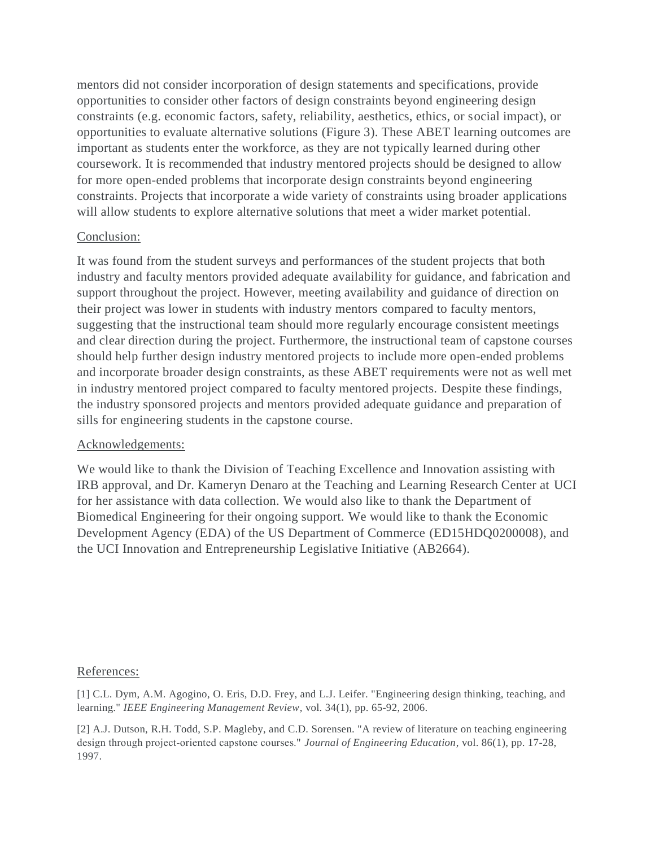mentors did not consider incorporation of design statements and specifications, provide opportunities to consider other factors of design constraints beyond engineering design constraints (e.g. economic factors, safety, reliability, aesthetics, ethics, or social impact), or opportunities to evaluate alternative solutions (Figure 3). These ABET learning outcomes are important as students enter the workforce, as they are not typically learned during other coursework. It is recommended that industry mentored projects should be designed to allow for more open-ended problems that incorporate design constraints beyond engineering constraints. Projects that incorporate a wide variety of constraints using broader applications will allow students to explore alternative solutions that meet a wider market potential.

#### Conclusion:

It was found from the student surveys and performances of the student projects that both industry and faculty mentors provided adequate availability for guidance, and fabrication and support throughout the project. However, meeting availability and guidance of direction on their project was lower in students with industry mentors compared to faculty mentors, suggesting that the instructional team should more regularly encourage consistent meetings and clear direction during the project. Furthermore, the instructional team of capstone courses should help further design industry mentored projects to include more open-ended problems and incorporate broader design constraints, as these ABET requirements were not as well met in industry mentored project compared to faculty mentored projects. Despite these findings, the industry sponsored projects and mentors provided adequate guidance and preparation of sills for engineering students in the capstone course.

#### Acknowledgements:

We would like to thank the Division of Teaching Excellence and Innovation assisting with IRB approval, and Dr. Kameryn Denaro at the Teaching and Learning Research Center at UCI for her assistance with data collection. We would also like to thank the Department of Biomedical Engineering for their ongoing support. We would like to thank the Economic Development Agency (EDA) of the US Department of Commerce (ED15HDQ0200008), and the UCI Innovation and Entrepreneurship Legislative Initiative (AB2664).

#### References:

[1] C.L. Dym, A.M. Agogino, O. Eris, D.D. Frey, and L.J. Leifer. "Engineering design thinking, teaching, and learning." *IEEE Engineering Management Review,* vol. 34(1), pp. 65-92, 2006.

[2] A.J. Dutson, R.H. Todd, S.P. Magleby, and C.D. Sorensen. "A review of literature on teaching engineering design through project-oriented capstone courses." *Journal of Engineering Education*, vol. 86(1), pp. 17-28, 1997.